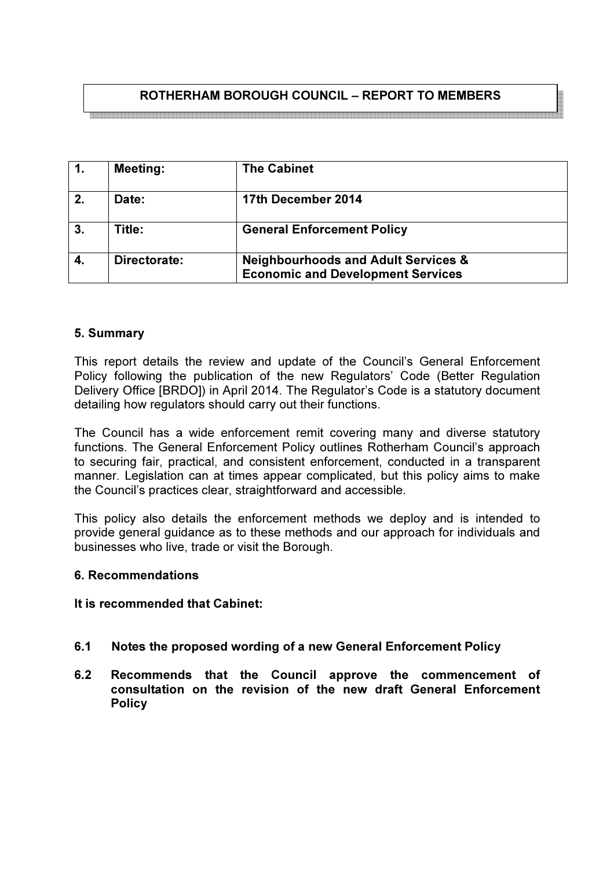# ROTHERHAM BOROUGH COUNCIL – REPORT TO MEMBERS

| $\overline{1}$ . | <b>Meeting:</b> | <b>The Cabinet</b>                                                                         |
|------------------|-----------------|--------------------------------------------------------------------------------------------|
| 2.               | Date:           | 17th December 2014                                                                         |
| 3.               | Title:          | <b>General Enforcement Policy</b>                                                          |
| 4.               | Directorate:    | <b>Neighbourhoods and Adult Services &amp;</b><br><b>Economic and Development Services</b> |

## 5. Summary

This report details the review and update of the Council's General Enforcement Policy following the publication of the new Regulators' Code (Better Regulation Delivery Office [BRDO]) in April 2014. The Regulator's Code is a statutory document detailing how regulators should carry out their functions.

The Council has a wide enforcement remit covering many and diverse statutory functions. The General Enforcement Policy outlines Rotherham Council's approach to securing fair, practical, and consistent enforcement, conducted in a transparent manner. Legislation can at times appear complicated, but this policy aims to make the Council's practices clear, straightforward and accessible.

This policy also details the enforcement methods we deploy and is intended to provide general guidance as to these methods and our approach for individuals and businesses who live, trade or visit the Borough.

#### 6. Recommendations

#### It is recommended that Cabinet:

- 6.1 Notes the proposed wording of a new General Enforcement Policy
- 6.2 Recommends that the Council approve the commencement of consultation on the revision of the new draft General Enforcement **Policy**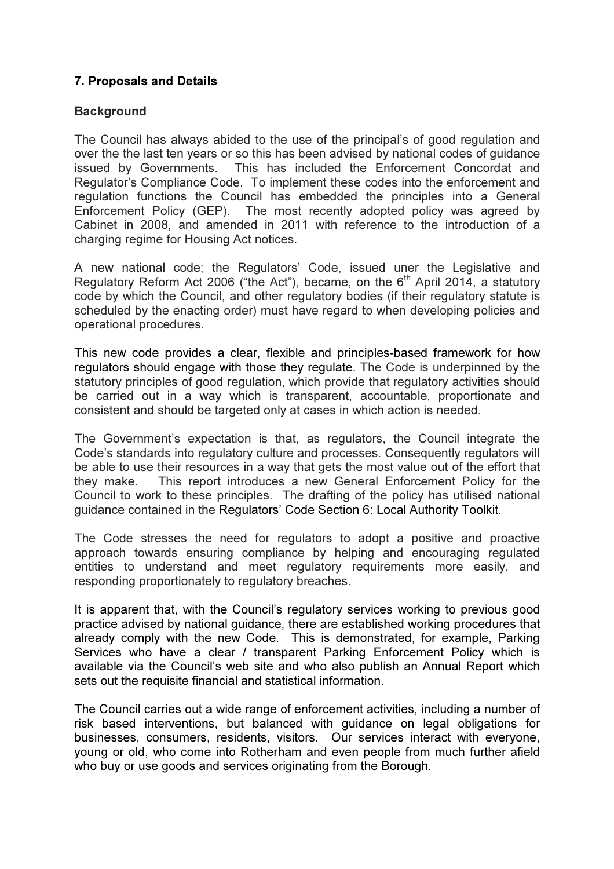## 7. Proposals and Details

## **Background**

The Council has always abided to the use of the principal's of good regulation and over the the last ten years or so this has been advised by national codes of guidance issued by Governments. This has included the Enforcement Concordat and Regulator's Compliance Code. To implement these codes into the enforcement and regulation functions the Council has embedded the principles into a General Enforcement Policy (GEP). The most recently adopted policy was agreed by Cabinet in 2008, and amended in 2011 with reference to the introduction of a charging regime for Housing Act notices.

A new national code; the Regulators' Code, issued uner the Legislative and Regulatory Reform Act 2006 ("the Act"), became, on the  $6<sup>th</sup>$  April 2014, a statutory code by which the Council, and other regulatory bodies (if their regulatory statute is scheduled by the enacting order) must have regard to when developing policies and operational procedures.

This new code provides a clear, flexible and principles-based framework for how regulators should engage with those they regulate. The Code is underpinned by the statutory principles of good regulation, which provide that regulatory activities should be carried out in a way which is transparent, accountable, proportionate and consistent and should be targeted only at cases in which action is needed.

The Government's expectation is that, as regulators, the Council integrate the Code's standards into regulatory culture and processes. Consequently regulators will be able to use their resources in a way that gets the most value out of the effort that they make. This report introduces a new General Enforcement Policy for the Council to work to these principles. The drafting of the policy has utilised national guidance contained in the Regulators' Code Section 6: Local Authority Toolkit.

The Code stresses the need for regulators to adopt a positive and proactive approach towards ensuring compliance by helping and encouraging regulated entities to understand and meet regulatory requirements more easily, and responding proportionately to regulatory breaches.

It is apparent that, with the Council's regulatory services working to previous good practice advised by national guidance, there are established working procedures that already comply with the new Code. This is demonstrated, for example, Parking Services who have a clear / transparent Parking Enforcement Policy which is available via the Council's web site and who also publish an Annual Report which sets out the requisite financial and statistical information.

The Council carries out a wide range of enforcement activities, including a number of risk based interventions, but balanced with guidance on legal obligations for businesses, consumers, residents, visitors. Our services interact with everyone, young or old, who come into Rotherham and even people from much further afield who buy or use goods and services originating from the Borough.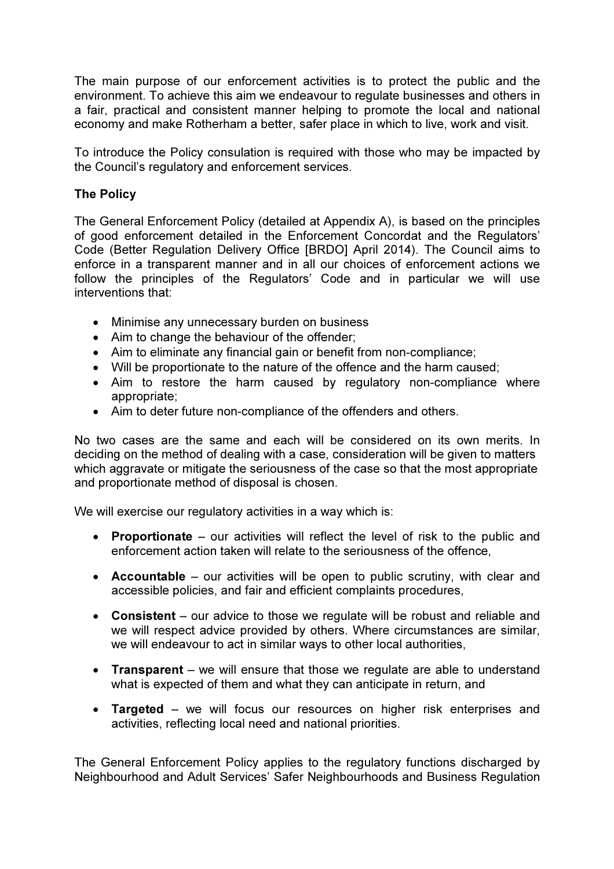The main purpose of our enforcement activities is to protect the public and the environment. To achieve this aim we endeavour to regulate businesses and others in a fair, practical and consistent manner helping to promote the local and national economy and make Rotherham a better, safer place in which to live, work and visit.

To introduce the Policy consulation is required with those who may be impacted by the Council's regulatory and enforcement services.

## The Policy

The General Enforcement Policy (detailed at Appendix A), is based on the principles of good enforcement detailed in the Enforcement Concordat and the Regulators' Code (Better Regulation Delivery Office [BRDO] April 2014). The Council aims to enforce in a transparent manner and in all our choices of enforcement actions we follow the principles of the Regulators' Code and in particular we will use interventions that:

- Minimise any unnecessary burden on business
- Aim to change the behaviour of the offender;
- Aim to eliminate any financial gain or benefit from non-compliance;
- Will be proportionate to the nature of the offence and the harm caused;
- Aim to restore the harm caused by regulatory non-compliance where appropriate;
- Aim to deter future non-compliance of the offenders and others.

No two cases are the same and each will be considered on its own merits. In deciding on the method of dealing with a case, consideration will be given to matters which aggravate or mitigate the seriousness of the case so that the most appropriate and proportionate method of disposal is chosen.

We will exercise our regulatory activities in a way which is:

- Proportionate our activities will reflect the level of risk to the public and enforcement action taken will relate to the seriousness of the offence,
- Accountable our activities will be open to public scrutiny, with clear and accessible policies, and fair and efficient complaints procedures,
- Consistent our advice to those we regulate will be robust and reliable and we will respect advice provided by others. Where circumstances are similar, we will endeavour to act in similar ways to other local authorities,
- Transparent we will ensure that those we regulate are able to understand what is expected of them and what they can anticipate in return, and
- Targeted we will focus our resources on higher risk enterprises and activities, reflecting local need and national priorities.

The General Enforcement Policy applies to the regulatory functions discharged by Neighbourhood and Adult Services' Safer Neighbourhoods and Business Regulation